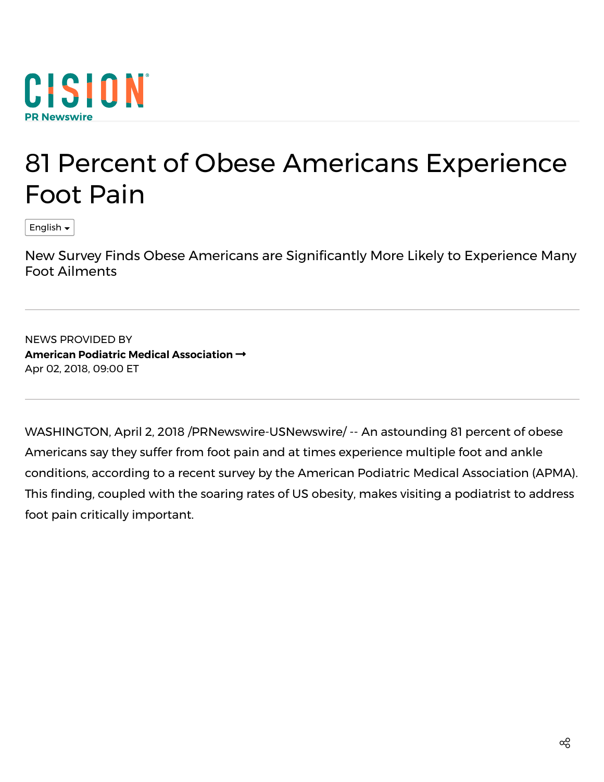

## 81 Percent of Obese Americans Experience Foot Pain

English

New Survey Finds Obese Americans are Significantly More Likely to Experience Many Foot Ailments

NEWS PROVIDED BY **American Podiatric Medical [Association](https://www.prnewswire.com/news/american-podiatric-medical-association)** Apr 02, 2018, 09:00 ET

WASHINGTON, April 2, 2018 /PRNewswire-USNewswire/ -- An astounding 81 percent of obese Americans say they suffer from foot pain and at times experience multiple foot and ankle conditions, according to a recent survey by the American Podiatric Medical Association (APMA). This finding, coupled with the soaring rates of US obesity, makes visiting a podiatrist to address foot pain critically important.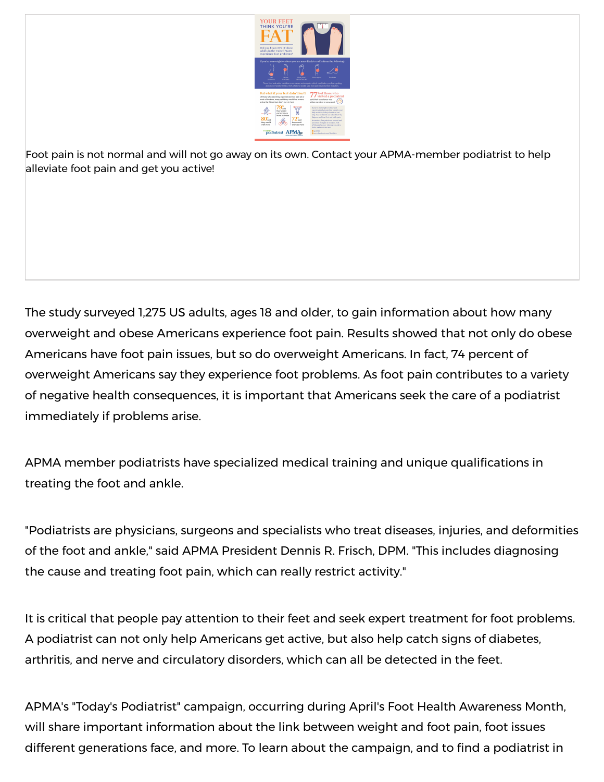

Foot pain is not normal and will not go away on its own. Contact your APMA-member podiatrist to help alleviate foot pain and get you active!

The study surveyed 1,275 US adults, ages 18 and older, to gain information about how many overweight and obese Americans experience foot pain. Results showed that not only do obese Americans have foot pain issues, but so do overweight Americans. In fact, 74 percent of overweight Americans say they experience foot problems. As foot pain contributes to a variety of negative health consequences, it is important that Americans seek the care of a podiatrist immediately if problems arise.

APMA member podiatrists have specialized medical training and unique qualifications in treating the foot and ankle.

"Podiatrists are physicians, surgeons and specialists who treat diseases, injuries, and deformities of the foot and ankle," said APMA President Dennis R. Frisch, DPM. "This includes diagnosing the cause and treating foot pain, which can really restrict activity."

It is critical that people pay attention to their feet and seek expert treatment for foot problems. A podiatrist can not only help Americans get active, but also help catch signs of diabetes, arthritis, and nerve and circulatory disorders, which can all be detected in the feet.

APMA's "Today's Podiatrist" campaign, occurring during April's Foot Health Awareness Month, will share important information about the link between weight and foot pain, foot issues different generations face, and more. To learn about the campaign, and to find a podiatrist in